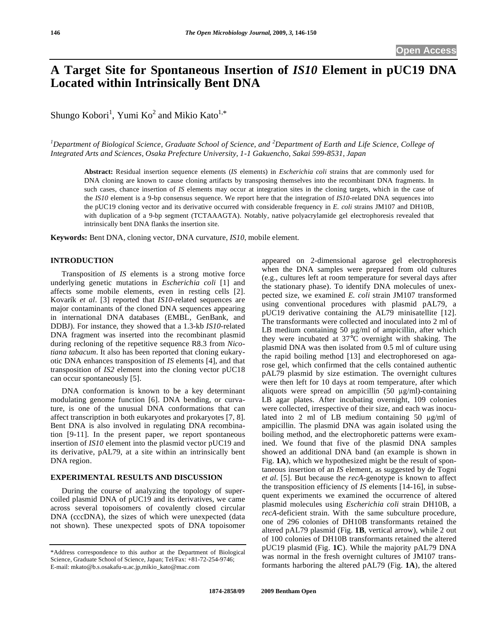# **A Target Site for Spontaneous Insertion of** *IS10* **Element in pUC19 DNA Located within Intrinsically Bent DNA**

Shungo Kobori<sup>1</sup>, Yumi Ko<sup>2</sup> and Mikio Kato<sup>1,\*</sup>

*1 Department of Biological Science, Graduate School of Science, and <sup>2</sup> Department of Earth and Life Science, College of Integrated Arts and Sciences, Osaka Prefecture University, 1-1 Gakuencho, Sakai 599-8531, Japan* 

**Abstract:** Residual insertion sequence elements (*IS* elements) in *Escherichia coli* strains that are commonly used for DNA cloning are known to cause cloning artifacts by transposing themselves into the recombinant DNA fragments. In such cases, chance insertion of *IS* elements may occur at integration sites in the cloning targets, which in the case of the *IS10* element is a 9-bp consensus sequence. We report here that the integration of *IS10*-related DNA sequences into the pUC19 cloning vector and its derivative occurred with considerable frequency in *E. coli* strains JM107 and DH10B, with duplication of a 9-bp segment (TCTAAAGTA). Notably, native polyacrylamide gel electrophoresis revealed that intrinsically bent DNA flanks the insertion site.

**Keywords:** Bent DNA, cloning vector, DNA curvature, *IS10*, mobile element.

## **INTRODUCTION**

 Transposition of *IS* elements is a strong motive force underlying genetic mutations in *Escherichia coli* [1] and affects some mobile elements, even in resting cells [2]. Kovarík *et al*. [3] reported that *IS10*-related sequences are major contaminants of the cloned DNA sequences appearing in international DNA databases (EMBL, GenBank, and DDBJ). For instance, they showed that a 1.3-kb *IS10*-related DNA fragment was inserted into the recombinant plasmid during recloning of the repetitive sequence R8.3 from *Nicotiana tabacum*. It also has been reported that cloning eukaryotic DNA enhances transposition of *IS* elements [4], and that transposition of *IS2* element into the cloning vector pUC18 can occur spontaneously [5].

 DNA conformation is known to be a key determinant modulating genome function [6]. DNA bending, or curvature, is one of the unusual DNA conformations that can affect transcription in both eukaryotes and prokaryotes [7, 8]. Bent DNA is also involved in regulating DNA recombination [9-11]. In the present paper, we report spontaneous insertion of *IS10* element into the plasmid vector pUC19 and its derivative, pAL79, at a site within an intrinsically bent DNA region.

### **EXPERIMENTAL RESULTS AND DISCUSSION**

 During the course of analyzing the topology of supercoiled plasmid DNA of pUC19 and its derivatives, we came across several topoisomers of covalently closed circular DNA (cccDNA), the sizes of which were unexpected (data not shown). These unexpected spots of DNA topoisomer appeared on 2-dimensional agarose gel electrophoresis when the DNA samples were prepared from old cultures (e.g., cultures left at room temperature for several days after the stationary phase). To identify DNA molecules of unexpected size, we examined *E. coli* strain JM107 transformed using conventional procedures with plasmid pAL79, a pUC19 derivative containing the AL79 minisatellite [12]. The transformants were collected and inoculated into 2 ml of LB medium containing 50  $\mu$ g/ml of ampicillin, after which they were incubated at 37°C overnight with shaking. The plasmid DNA was then isolated from 0.5 ml of culture using the rapid boiling method [13] and electrophoresed on agarose gel, which confirmed that the cells contained authentic pAL79 plasmid by size estimation. The overnight cultures were then left for 10 days at room temperature, after which aliquots were spread on ampicillin  $(50 \mu g/ml)$ -containing LB agar plates. After incubating overnight, 109 colonies were collected, irrespective of their size, and each was inoculated into 2 ml of LB medium containing 50  $\mu$ g/ml of ampicillin. The plasmid DNA was again isolated using the boiling method, and the electrophoretic patterns were examined. We found that five of the plasmid DNA samples showed an additional DNA band (an example is shown in Fig. **1A**), which we hypothesized might be the result of spontaneous insertion of an *IS* element, as suggested by de Togni *et al*. [5]. But because the *recA*-genotype is known to affect the transposition efficiency of *IS* elements [14-16], in subsequent experiments we examined the occurrence of altered plasmid molecules using *Escherichia coli* strain DH10B, a *recA*-deficient strain. With the same subculture procedure, one of 296 colonies of DH10B transformants retained the altered pAL79 plasmid (Fig. **1B**, vertical arrow), while 2 out of 100 colonies of DH10B transformants retained the altered pUC19 plasmid (Fig. **1C**). While the majority pAL79 DNA was normal in the fresh overnight cultures of JM107 transformants harboring the altered pAL79 (Fig. **1A**), the altered

<sup>\*</sup>Address correspondence to this author at the Department of Biological Science, Graduate School of Science, Japan; Tel/Fax: +81-72-254-9746; E-mail: mkato@b.s.osakafu-u.ac.jp,mikio\_kato@mac.com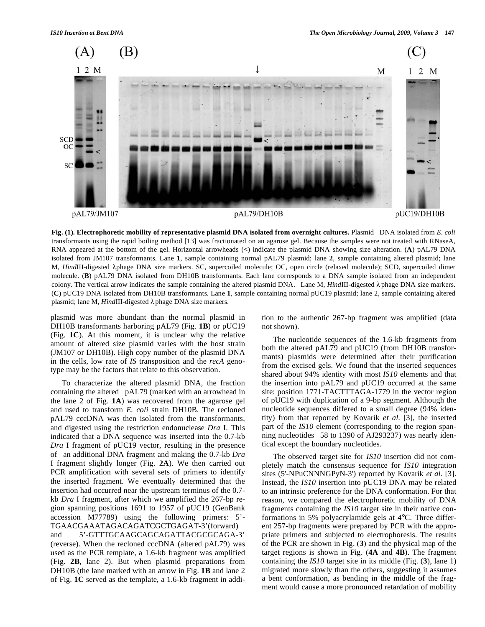

**Fig. (1). Electrophoretic mobility of representative plasmid DNA isolated from overnight cultures. Plasmid DNA isolated from** *E. coli* transformants using the rapid boiling method [13] was fractionated on an agarose gel. Because the samples were not treated with RNaseA, RNA appeared at the bottom of the gel. Horizontal arrowheads (**<**) indicate the plasmid DNA showing size alteration. (**A**) pAL79 DNA isolated from JM107 transformants. Lane **1**, sample containing normal pAL79 plasmid; lane **2**, sample containing altered plasmid; lane M, HindIII-digested  $\lambda$ phage DNA size markers. SC, supercoiled molecule; OC, open circle (relaxed molecule); SCD, supercoiled dimer molecule. **(B)** pAL79 DNA isolated from DH10B transformants. Each lane corresponds to a DNA sample isolated from an independent colony. The vertical arrow indicates the sample containing the altered plasmid DNA. Lane M, *HindIII-digested*  $\lambda$ *phage DNA size markers*. (**C**) pUC19 DNA isolated from DH10B transformants. Lane **1**, sample containing normal pUC19 plasmid; lane 2, sample containing altered plasmid; lane M, *HindIII*-digested  $\lambda$  phage DNA size markers.

plasmid was more abundant than the normal plasmid in DH10B transformants harboring pAL79 (Fig. **1B**) or pUC19 (Fig. **1C**). At this moment, it is unclear why the relative amount of altered size plasmid varies with the host strain (JM107 or DH10B). High copy number of the plasmid DNA in the cells, low rate of *IS* transposition and the *recA* genotype may be the factors that relate to this observation.

 To characterize the altered plasmid DNA, the fraction containing the altered pAL79 (marked with an arrowhead in the lane 2 of Fig. **1A**) was recovered from the agarose gel and used to transform *E. coli* strain DH10B. The recloned pAL79 cccDNA was then isolated from the transformants, and digested using the restriction endonuclease *Dra* I. This indicated that a DNA sequence was inserted into the 0.7-kb *Dra* I fragment of pUC19 vector, resulting in the presence of an additional DNA fragment and making the 0.7-kb *Dra* I fragment slightly longer (Fig. **2A**). We then carried out PCR amplification with several sets of primers to identify the inserted fragment. We eventually determined that the insertion had occurred near the upstream terminus of the 0.7 kb *Dra* I fragment, after which we amplified the 267-bp region spanning positions 1691 to 1957 of pUC19 (GenBank accession M77789) using the following primers: 5'- TGAACGAAATAGACAGATCGCTGAGAT-3'(forward)

and 5'-GTTTGCAAGCAGCAGATTACGCGCAGA-3' (reverse). When the recloned cccDNA (altered pAL79) was used as the PCR template, a 1.6-kb fragment was amplified (Fig. **2B**, lane 2). But when plasmid preparations from DH10B (the lane marked with an arrow in Fig. **1B** and lane 2 of Fig. **1C** served as the template, a 1.6-kb fragment in addition to the authentic 267-bp fragment was amplified (data not shown).

 The nucleotide sequences of the 1.6-kb fragments from both the altered pAL79 and pUC19 (from DH10B transformants) plasmids were determined after their purification from the excised gels. We found that the inserted sequences shared about 94% identity with most *IS10* elements and that the insertion into pAL79 and pUC19 occurred at the same site: position 1771-TACTTTAGA-1779 in the vector region of pUC19 with duplication of a 9-bp segment. Although the nucleotide sequences differed to a small degree (94% identity) from that reported by Kovarík *et al*. [3], the inserted part of the *IS10* element (corresponding to the region spanning nucleotides 58 to 1390 of AJ293237) was nearly identical except the boundary nucleotides.

 The observed target site for *IS10* insertion did not completely match the consensus sequence for *IS10* integration sites (5'-NPuCNNNGPyN-3') reported by Kovarík *et al*. [3]. Instead, the *IS10* insertion into pUC19 DNA may be related to an intrinsic preference for the DNA conformation. For that reason, we compared the electrophoretic mobility of DNA fragments containing the *IS10* target site in their native conformations in 5% polyacrylamide gels at 4°C. Three different 257-bp fragments were prepared by PCR with the appropriate primers and subjected to electrophoresis. The results of the PCR are shown in Fig. (**3**) and the physical map of the target regions is shown in Fig. (**4A** and **4B**). The fragment containing the *IS10* target site in its middle (Fig. (**3**), lane 1) migrated more slowly than the others, suggesting it assumes a bent conformation, as bending in the middle of the fragment would cause a more pronounced retardation of mobility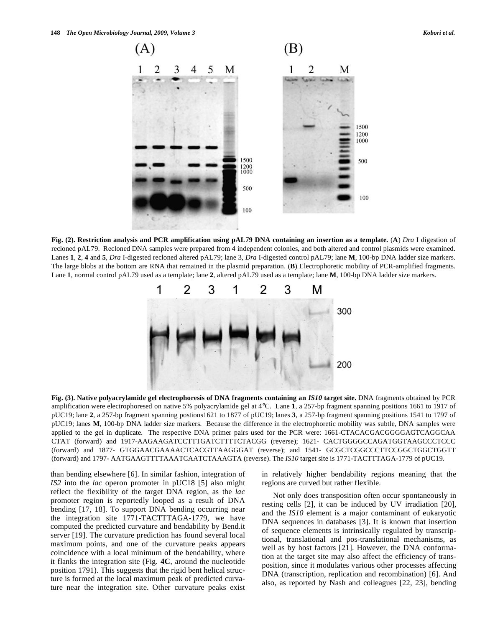

**Fig. (2). Restriction analysis and PCR amplification using pAL79 DNA containing an insertion as a template.** (**A**) *Dra* I digestion of recloned pAL79. Recloned DNA samples were prepared from 4 independent colonies, and both altered and control plasmids were examined. Lanes **1**, **2**, **4** and **5**, *Dra* I-digested recloned altered pAL79; lane 3, *Dra* I-digested control pAL79; lane **M**, 100-bp DNA ladder size markers. The large blobs at the bottom are RNA that remained in the plasmid preparation. (**B**) Electrophoretic mobility of PCR-amplified fragments. Lane **1**, normal control pAL79 used as a template; lane **2**, altered pAL79 used as a template; lane **M**, 100-bp DNA ladder size markers.



**Fig. (3). Native polyacrylamide gel electrophoresis of DNA fragments containing an** *IS10* **target site.** DNA fragments obtained by PCR amplification were electrophoresed on native 5% polyacrylamide gel at 4°C. Lane **1**, a 257-bp fragment spanning positions 1661 to 1917 of pUC19; lane **2**, a 257-bp fragment spanning postions1621 to 1877 of pUC19; lanes **3**, a 257-bp fragment spanning positions 1541 to 1797 of pUC19; lanes **M**, 100-bp DNA ladder size markers. Because the difference in the electrophoretic mobility was subtle, DNA samples were applied to the gel in duplicate. The respective DNA primer pairs used for the PCR were: 1661-CTACACGACGGGGAGTCAGGCAA CTAT (forward) and 1917-AAGAAGATCCTTTGATCTTTTCTACGG (reverse); 1621- CACTGGGGCCAGATGGTAAGCCCTCCC (forward) and 1877- GTGGAACGAAAACTCACGTTAAGGGAT (reverse); and 1541- GCGCTCGGCCCTTCCGGCTGGCTGGTT (forward) and 1797- AATGAAGTTTTAAATCAATCTAAAGTA (reverse). The *IS10* target site is 1771-TACTTTAGA-1779 of pUC19.

than bending elsewhere [6]. In similar fashion, integration of *IS2* into the *lac* operon promoter in pUC18 [5] also might reflect the flexibility of the target DNA region, as the *lac*  promoter region is reportedly looped as a result of DNA bending [17, 18]. To support DNA bending occurring near the integration site 1771-TACTTTAGA-1779, we have computed the predicted curvature and bendability by Bend.it server [19]. The curvature prediction has found several local maximum points, and one of the curvature peaks appears coincidence with a local minimum of the bendability, where it flanks the integration site (Fig. **4C**, around the nucleotide position 1791). This suggests that the rigid bent helical structure is formed at the local maximum peak of predicted curvature near the integration site. Other curvature peaks exist in relatively higher bendability regions meaning that the regions are curved but rather flexible.

 Not only does transposition often occur spontaneously in resting cells [2], it can be induced by UV irradiation [20], and the *IS10* element is a major contaminant of eukaryotic DNA sequences in databases [3]. It is known that insertion of sequence elements is intrinsically regulated by transcriptional, translational and pos-translational mechanisms, as well as by host factors [21]. However, the DNA conformation at the target site may also affect the efficiency of transposition, since it modulates various other processes affecting DNA (transcription, replication and recombination) [6]. And also, as reported by Nash and colleagues [22, 23], bending